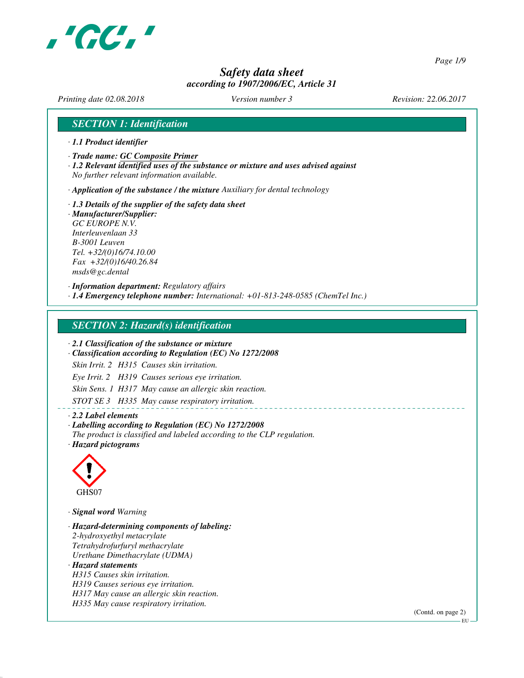

*Page 1/9*

# *Safety data sheet according to 1907/2006/EC, Article 31*

*Printing date 02.08.2018 Version number 3 Revision: 22.06.2017*

# *SECTION 1: Identification*

- *· 1.1 Product identifier*
- *· Trade name: GC Composite Primer*
- *· 1.2 Relevant identified uses of the substance or mixture and uses advised against No further relevant information available.*

*· Application of the substance / the mixture Auxiliary for dental technology*

*· 1.3 Details of the supplier of the safety data sheet · Manufacturer/Supplier: GC EUROPE N.V. Interleuvenlaan 33 B-3001 Leuven Tel. +32/(0)16/74.10.00 Fax +32/(0)16/40.26.84 msds@gc.dental*

*· Information department: Regulatory affairs · 1.4 Emergency telephone number: International: +01-813-248-0585 (ChemTel Inc.)*

## *SECTION 2: Hazard(s) identification*

*· 2.1 Classification of the substance or mixture*

*· Classification according to Regulation (EC) No 1272/2008*

*Skin Irrit. 2 H315 Causes skin irritation.*

*Eye Irrit. 2 H319 Causes serious eye irritation.*

*Skin Sens. 1 H317 May cause an allergic skin reaction.*

*STOT SE 3 H335 May cause respiratory irritation.*

#### *· 2.2 Label elements*

*· Labelling according to Regulation (EC) No 1272/2008*

- *The product is classified and labeled according to the CLP regulation.*
- *· Hazard pictograms*



*· Signal word Warning*

*· Hazard-determining components of labeling: 2-hydroxyethyl metacrylate Tetrahydrofurfuryl methacrylate Urethane Dimethacrylate (UDMA) · Hazard statements H315 Causes skin irritation. H319 Causes serious eye irritation. H317 May cause an allergic skin reaction. H335 May cause respiratory irritation.*

(Contd. on page 2)

 $-$ EU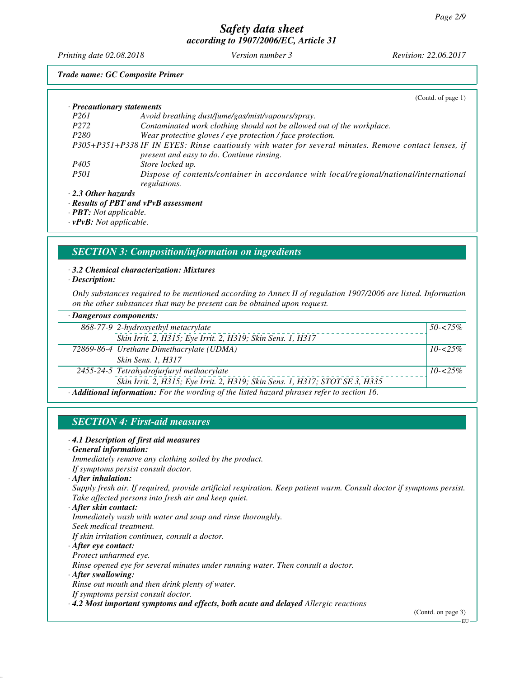*Printing date 02.08.2018 Version number 3 Revision: 22.06.2017*

*Trade name: GC Composite Primer*

|                            | (Contd. of page $1$ )                                                                                  |
|----------------------------|--------------------------------------------------------------------------------------------------------|
| · Precautionary statements |                                                                                                        |
| <i>P261</i>                | Avoid breathing dust/fume/gas/mist/vapours/spray.                                                      |
| P <sub>272</sub>           | Contaminated work clothing should not be allowed out of the workplace.                                 |
| P <sub>280</sub>           | Wear protective gloves / eye protection / face protection.                                             |
|                            | P305+P351+P338 IF IN EYES: Rinse cautiously with water for several minutes. Remove contact lenses, if  |
|                            | present and easy to do. Continue rinsing.                                                              |
| P405                       | Store locked up.                                                                                       |
| <i>P501</i>                | Dispose of contents/container in accordance with local/regional/national/international<br>regulations. |
| · 2.3 Other hazards        |                                                                                                        |
|                            | · Results of PBT and vPvB assessment                                                                   |

*· PBT: Not applicable.*

*· vPvB: Not applicable.*

## *SECTION 3: Composition/information on ingredients*

*· 3.2 Chemical characterization: Mixtures*

*· Description:*

*Only substances required to be mentioned according to Annex II of regulation 1907/2006 are listed. Information on the other substances that may be present can be obtained upon request.*

| $\cdot$ Dangerous components:                                                             |                                                                              |              |
|-------------------------------------------------------------------------------------------|------------------------------------------------------------------------------|--------------|
|                                                                                           | 868-77-9 2-hydroxyethyl metacrylate                                          | $50 - 575\%$ |
|                                                                                           | Skin Irrit. 2, H315; Eye Irrit. 2, H319; Skin Sens. 1, H317                  |              |
|                                                                                           | 72869-86-4 Urethane Dimethacrylate (UDMA)                                    | $10 - 25\%$  |
|                                                                                           | Skin Sens. 1, H317                                                           |              |
|                                                                                           | 2455-24-5 Tetrahydrofurfuryl methacrylate                                    | $10 - 25\%$  |
|                                                                                           | Skin Irrit. 2, H315; Eye Irrit. 2, H319; Skin Sens. 1, H317; STOT SE 3, H335 |              |
| A Different information. Fourthe wonding of the lighted becaud physics ushoute exclude 16 |                                                                              |              |

*· Additional information: For the wording of the listed hazard phrases refer to section 16.*

# *SECTION 4: First-aid measures*

#### *· 4.1 Description of first aid measures*

#### *· General information:*

*Immediately remove any clothing soiled by the product.*

- *If symptoms persist consult doctor.*
- *· After inhalation:*

*Supply fresh air. If required, provide artificial respiration. Keep patient warm. Consult doctor if symptoms persist. Take affected persons into fresh air and keep quiet.*

#### *· After skin contact:*

*Immediately wash with water and soap and rinse thoroughly. Seek medical treatment.*

*If skin irritation continues, consult a doctor.*

#### *· After eye contact:*

*Protect unharmed eye.*

*Rinse opened eye for several minutes under running water. Then consult a doctor.*

#### *· After swallowing:*

*Rinse out mouth and then drink plenty of water.*

*If symptoms persist consult doctor.*

*· 4.2 Most important symptoms and effects, both acute and delayed Allergic reactions*

(Contd. on page 3)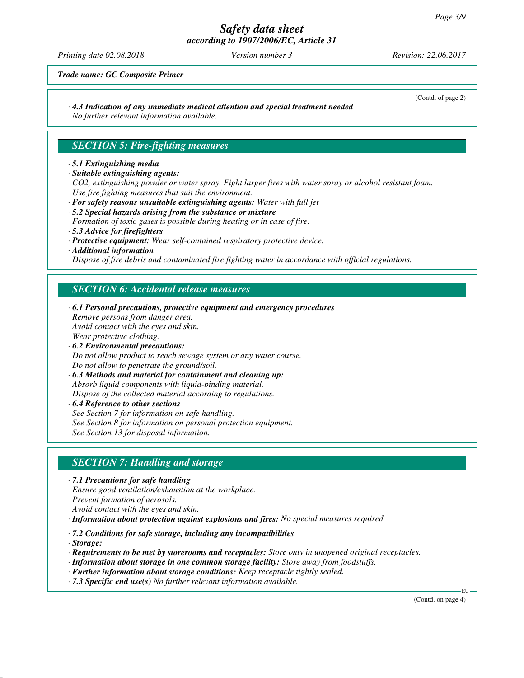*Printing date 02.08.2018 Version number 3 Revision: 22.06.2017*

(Contd. of page 2)

*Trade name: GC Composite Primer*

# *· 4.3 Indication of any immediate medical attention and special treatment needed*

*No further relevant information available.*

# *SECTION 5: Fire-fighting measures*

## *· 5.1 Extinguishing media*

*· Suitable extinguishing agents:*

*CO2, extinguishing powder or water spray. Fight larger fires with water spray or alcohol resistant foam. Use fire fighting measures that suit the environment.*

- *· For safety reasons unsuitable extinguishing agents: Water with full jet · 5.2 Special hazards arising from the substance or mixture*
- *Formation of toxic gases is possible during heating or in case of fire.*
- *· 5.3 Advice for firefighters*
- *· Protective equipment: Wear self-contained respiratory protective device.*
- *· Additional information*

*Dispose of fire debris and contaminated fire fighting water in accordance with official regulations.*

# *SECTION 6: Accidental release measures*

*· 6.1 Personal precautions, protective equipment and emergency procedures Remove persons from danger area. Avoid contact with the eyes and skin. Wear protective clothing. · 6.2 Environmental precautions: Do not allow product to reach sewage system or any water course. Do not allow to penetrate the ground/soil. · 6.3 Methods and material for containment and cleaning up: Absorb liquid components with liquid-binding material. Dispose of the collected material according to regulations. · 6.4 Reference to other sections*

*See Section 7 for information on safe handling. See Section 8 for information on personal protection equipment. See Section 13 for disposal information.*

# *SECTION 7: Handling and storage*

*· 7.1 Precautions for safe handling Ensure good ventilation/exhaustion at the workplace. Prevent formation of aerosols. Avoid contact with the eyes and skin.*

*· Information about protection against explosions and fires: No special measures required.*

*· 7.2 Conditions for safe storage, including any incompatibilities*

*· Storage:*

*· Requirements to be met by storerooms and receptacles: Store only in unopened original receptacles.*

- *· Information about storage in one common storage facility: Store away from foodstuffs.*
- *· Further information about storage conditions: Keep receptacle tightly sealed.*
- *· 7.3 Specific end use(s) No further relevant information available.*

(Contd. on page 4)

EU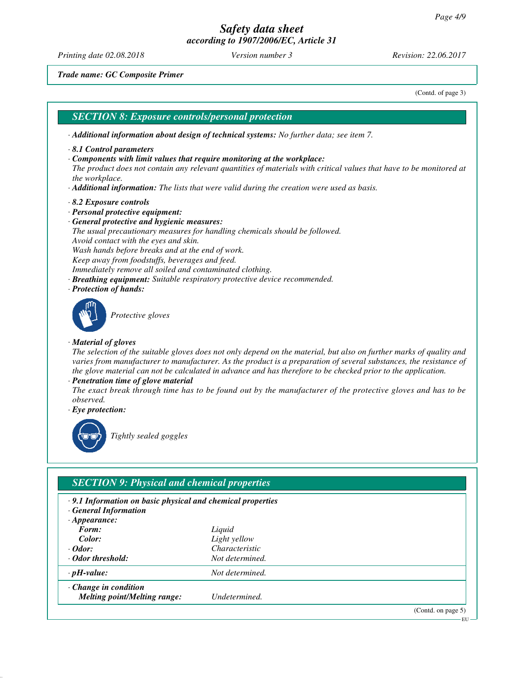*Printing date 02.08.2018 Version number 3 Revision: 22.06.2017*

*Trade name: GC Composite Primer*

(Contd. of page 3)

## *SECTION 8: Exposure controls/personal protection*

- *· Additional information about design of technical systems: No further data; see item 7.*
- *· 8.1 Control parameters*
- *· Components with limit values that require monitoring at the workplace:*

*The product does not contain any relevant quantities of materials with critical values that have to be monitored at the workplace.*

- *· Additional information: The lists that were valid during the creation were used as basis.*
- *· 8.2 Exposure controls*
- *· Personal protective equipment:*
- *· General protective and hygienic measures:*

*The usual precautionary measures for handling chemicals should be followed. Avoid contact with the eyes and skin.*

*Wash hands before breaks and at the end of work.*

*Keep away from foodstuffs, beverages and feed.*

- *Immediately remove all soiled and contaminated clothing.*
- *· Breathing equipment: Suitable respiratory protective device recommended.*
- *· Protection of hands:*



*Protective gloves*

#### *· Material of gloves*

*The selection of the suitable gloves does not only depend on the material, but also on further marks of quality and varies from manufacturer to manufacturer. As the product is a preparation of several substances, the resistance of the glove material can not be calculated in advance and has therefore to be checked prior to the application.*

*· Penetration time of glove material*

*The exact break through time has to be found out by the manufacturer of the protective gloves and has to be observed.*

*· Eye protection:*



*Tightly sealed goggles*

# *SECTION 9: Physical and chemical properties*

- *· 9.1 Information on basic physical and chemical properties*
- *· General Information*
- *· Appearance:*
- *Form: Liquid Color: Light yellow*
- 
- *· Odor: Characteristic · Odor threshold: Not determined.*

*· pH-value: Not determined.*

*· Change in condition*

*Melting point/Melting range: Undetermined.*

(Contd. on page 5)

EU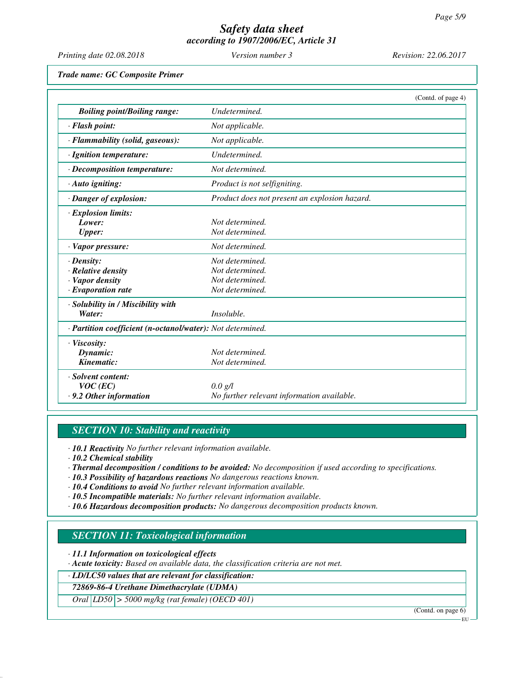| Printing date 02.08.2018                                   | Version number 3                              | Revision: 22.06.2017 |
|------------------------------------------------------------|-----------------------------------------------|----------------------|
| Trade name: GC Composite Primer                            |                                               |                      |
|                                                            |                                               | (Contd. of page 4)   |
| <b>Boiling point/Boiling range:</b>                        | Undetermined.                                 |                      |
| · Flash point:                                             | Not applicable.                               |                      |
| · Flammability (solid, gaseous):                           | Not applicable.                               |                      |
| · Ignition temperature:                                    | Undetermined.                                 |                      |
| · Decomposition temperature:                               | Not determined.                               |                      |
| · Auto igniting:                                           | Product is not selfigniting.                  |                      |
| · Danger of explosion:                                     | Product does not present an explosion hazard. |                      |
| · Explosion limits:                                        |                                               |                      |
| Lower:                                                     | Not determined.                               |                      |
| <b>Upper:</b>                                              | Not determined.                               |                      |
| · Vapor pressure:                                          | Not determined.                               |                      |
| $\cdot$ Density:                                           | Not determined.                               |                      |
| · Relative density                                         | Not determined.                               |                      |
| · Vapor density                                            | Not determined.                               |                      |
| $\cdot$ Evaporation rate                                   | Not determined.                               |                      |
| · Solubility in / Miscibility with                         |                                               |                      |
| Water:                                                     | Insoluble.                                    |                      |
| · Partition coefficient (n-octanol/water): Not determined. |                                               |                      |
| · Viscosity:                                               |                                               |                      |
| Dynamic:                                                   | Not determined.                               |                      |
| Kinematic:                                                 | Not determined.                               |                      |
| · Solvent content:                                         |                                               |                      |
| $VOC$ (EC)                                                 | $0.0 \text{ g/l}$                             |                      |
| .9.2 Other information                                     | No further relevant information available.    |                      |

## *SECTION 10: Stability and reactivity*

*· 10.1 Reactivity No further relevant information available.*

*· 10.2 Chemical stability*

*· Thermal decomposition / conditions to be avoided: No decomposition if used according to specifications.*

- *· 10.3 Possibility of hazardous reactions No dangerous reactions known.*
- *· 10.4 Conditions to avoid No further relevant information available.*
- *· 10.5 Incompatible materials: No further relevant information available.*

*· 10.6 Hazardous decomposition products: No dangerous decomposition products known.*

## *SECTION 11: Toxicological information*

*· 11.1 Information on toxicological effects*

*· Acute toxicity: Based on available data, the classification criteria are not met.*

*· LD/LC50 values that are relevant for classification:*

*72869-86-4 Urethane Dimethacrylate (UDMA)*

*Oral LD50 > 5000 mg/kg (rat female) (OECD 401)*

(Contd. on page 6)

EU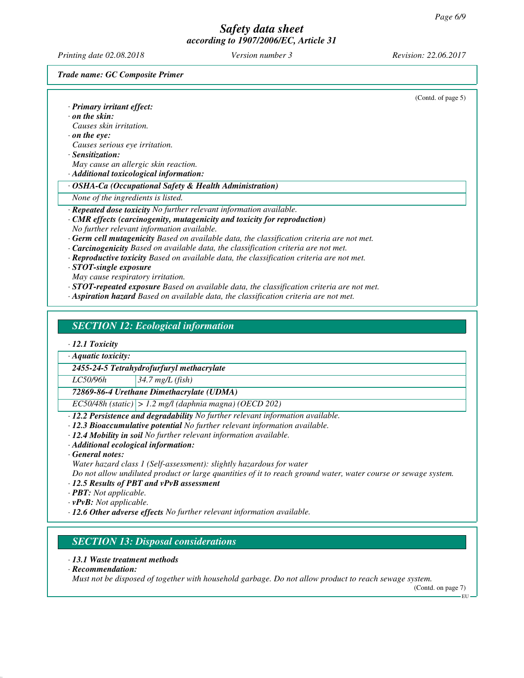*Printing date 02.08.2018 Version number 3 Revision: 22.06.2017*

*Trade name: GC Composite Primer*

| · Primary irritant effect:                                                                       | (Contd. of page 5) |
|--------------------------------------------------------------------------------------------------|--------------------|
| $\cdot$ on the skin:                                                                             |                    |
| Causes skin irritation.                                                                          |                    |
| $\cdot$ on the eye:                                                                              |                    |
| Causes serious eye irritation.                                                                   |                    |
| · Sensitization:                                                                                 |                    |
| May cause an allergic skin reaction.                                                             |                    |
| · Additional toxicological information:                                                          |                    |
| · OSHA-Ca (Occupational Safety & Health Administration)                                          |                    |
| None of the ingredients is listed.                                                               |                    |
| · Repeated dose toxicity No further relevant information available.                              |                    |
| $\cdot$ CMR effects (carcinogenity, mutagenicity and toxicity for reproduction)                  |                    |
| No further relevant information available.                                                       |                    |
| $\cdot$ Germ cell mutagenicity Based on available data, the classification criteria are not met. |                    |
| · Carcinogenicity Based on available data, the classification criteria are not met.              |                    |
| · Reproductive toxicity Based on available data, the classification criteria are not met.        |                    |
| $\cdot$ STOT-single exposure                                                                     |                    |
| May cause respiratory irritation.                                                                |                    |
| $\cdot$ STOT-repeated exposure Based on available data, the classification criteria are not met. |                    |
| · Aspiration hazard Based on available data, the classification criteria are not met.            |                    |
|                                                                                                  |                    |
| <b>SECTION 12: Ecological information</b>                                                        |                    |
|                                                                                                  |                    |
| $\cdot$ 12.1 Toxicity                                                                            |                    |
| $\cdot$ Aquatic toxicity:                                                                        |                    |

*2455-24-5 Tetrahydrofurfuryl methacrylate*

*LC50/96h 34.7 mg/L (fish)*

*72869-86-4 Urethane Dimethacrylate (UDMA)*

*EC50/48h (static) > 1.2 mg/l (daphnia magna) (OECD 202)*

*· 12.2 Persistence and degradability No further relevant information available.*

*· 12.3 Bioaccumulative potential No further relevant information available.*

*· 12.4 Mobility in soil No further relevant information available.*

*· Additional ecological information:*

#### *· General notes:*

*Water hazard class 1 (Self-assessment): slightly hazardous for water*

*Do not allow undiluted product or large quantities of it to reach ground water, water course or sewage system.*

- *· 12.5 Results of PBT and vPvB assessment*
- *· PBT: Not applicable.*
- *· vPvB: Not applicable.*
- *· 12.6 Other adverse effects No further relevant information available.*

# *SECTION 13: Disposal considerations*

- *· 13.1 Waste treatment methods*
- *· Recommendation:*

*Must not be disposed of together with household garbage. Do not allow product to reach sewage system.*

(Contd. on page 7)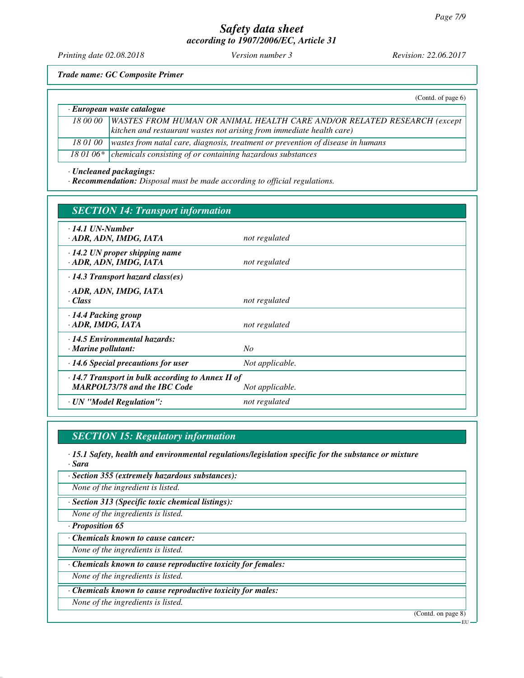*Printing date 02.08.2018 Version number 3 Revision: 22.06.2017*

*Trade name: GC Composite Primer*

|                            | (Contd. of page $6$ )                                                                                                                                           |
|----------------------------|-----------------------------------------------------------------------------------------------------------------------------------------------------------------|
| · European waste catalogue |                                                                                                                                                                 |
| 18 00 00                   | <b>WASTES FROM HUMAN OR ANIMAL HEALTH CARE AND/OR RELATED RESEARCH (except</b><br>$\vert$ kitchen and restaurant wastes not arising from immediate health care) |
| 18 01 00                   | wastes from natal care, diagnosis, treatment or prevention of disease in humans                                                                                 |
|                            | 18 01 06* $\vert$ chemicals consisting of or containing hazardous substances                                                                                    |

*· Uncleaned packagings:*

*· Recommendation: Disposal must be made according to official regulations.*

| <b>SECTION 14: Transport information</b>                                                                          |                 |  |
|-------------------------------------------------------------------------------------------------------------------|-----------------|--|
| $\cdot$ 14.1 UN-Number<br>· ADR, ADN, IMDG, IATA                                                                  | not regulated   |  |
| $\cdot$ 14.2 UN proper shipping name<br>· ADR, ADN, IMDG, IATA                                                    | not regulated   |  |
| $\cdot$ 14.3 Transport hazard class(es)                                                                           |                 |  |
| · ADR, ADN, IMDG, IATA<br>· Class                                                                                 | not regulated   |  |
| $\cdot$ 14.4 Packing group<br>· ADR, IMDG, IATA                                                                   | not regulated   |  |
| $\cdot$ 14.5 Environmental hazards:<br>· Marine pollutant:                                                        | No              |  |
| $\cdot$ 14.6 Special precautions for user                                                                         | Not applicable. |  |
| $\cdot$ 14.7 Transport in bulk according to Annex II of<br><b>MARPOL73/78 and the IBC Code</b><br>Not applicable. |                 |  |
| · UN "Model Regulation":                                                                                          | not regulated   |  |

# *SECTION 15: Regulatory information*

*· 15.1 Safety, health and environmental regulations/legislation specific for the substance or mixture · Sara*

*· Section 355 (extremely hazardous substances):*

*None of the ingredient is listed.*

*· Section 313 (Specific toxic chemical listings):*

*None of the ingredients is listed.*

*· Proposition 65*

*· Chemicals known to cause cancer:*

*None of the ingredients is listed.*

*· Chemicals known to cause reproductive toxicity for females:*

*None of the ingredients is listed.*

*· Chemicals known to cause reproductive toxicity for males:*

*None of the ingredients is listed.*

(Contd. on page 8)

EU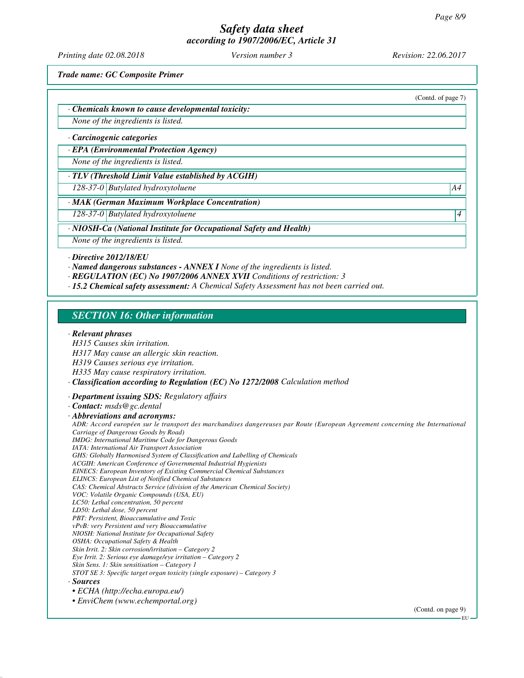*Printing date 02.08.2018 Version number 3 Revision: 22.06.2017*

(Contd. of page 7)

*Trade name: GC Composite Primer*

*· Chemicals known to cause developmental toxicity:*

*None of the ingredients is listed.*

#### *· Carcinogenic categories*

*· EPA (Environmental Protection Agency)*

*None of the ingredients is listed.*

*· TLV (Threshold Limit Value established by ACGIH)*

*128-37-0 Butylated hydroxytoluene A4*

*· MAK (German Maximum Workplace Concentration)*

*128-37-0 Butylated hydroxytoluene 4* 

*· NIOSH-Ca (National Institute for Occupational Safety and Health)*

*None of the ingredients is listed.*

*· Directive 2012/18/EU*

*· Named dangerous substances - ANNEX I None of the ingredients is listed.*

*· REGULATION (EC) No 1907/2006 ANNEX XVII Conditions of restriction: 3*

*· 15.2 Chemical safety assessment: A Chemical Safety Assessment has not been carried out.*

## *SECTION 16: Other information*

#### *· Relevant phrases*

*H315 Causes skin irritation. H317 May cause an allergic skin reaction. H319 Causes serious eye irritation. H335 May cause respiratory irritation. · Classification according to Regulation (EC) No 1272/2008 Calculation method · Department issuing SDS: Regulatory affairs · Contact: msds@gc.dental · Abbreviations and acronyms: ADR: Accord européen sur le transport des marchandises dangereuses par Route (European Agreement concerning the International Carriage of Dangerous Goods by Road) IMDG: International Maritime Code for Dangerous Goods IATA: International Air Transport Association GHS: Globally Harmonised System of Classification and Labelling of Chemicals ACGIH: American Conference of Governmental Industrial Hygienists EINECS: European Inventory of Existing Commercial Chemical Substances ELINCS: European List of Notified Chemical Substances CAS: Chemical Abstracts Service (division of the American Chemical Society) VOC: Volatile Organic Compounds (USA, EU) LC50: Lethal concentration, 50 percent LD50: Lethal dose, 50 percent PBT: Persistent, Bioaccumulative and Toxic vPvB: very Persistent and very Bioaccumulative NIOSH: National Institute for Occupational Safety OSHA: Occupational Safety & Health Skin Irrit. 2: Skin corrosion/irritation – Category 2 Eye Irrit. 2: Serious eye damage/eye irritation – Category 2 Skin Sens. 1: Skin sensitisation – Category 1 STOT SE 3: Specific target organ toxicity (single exposure) – Category 3 · Sources • ECHA (http://echa.europa.eu/) • EnviChem (www.echemportal.org)*

(Contd. on page 9)

**EU**